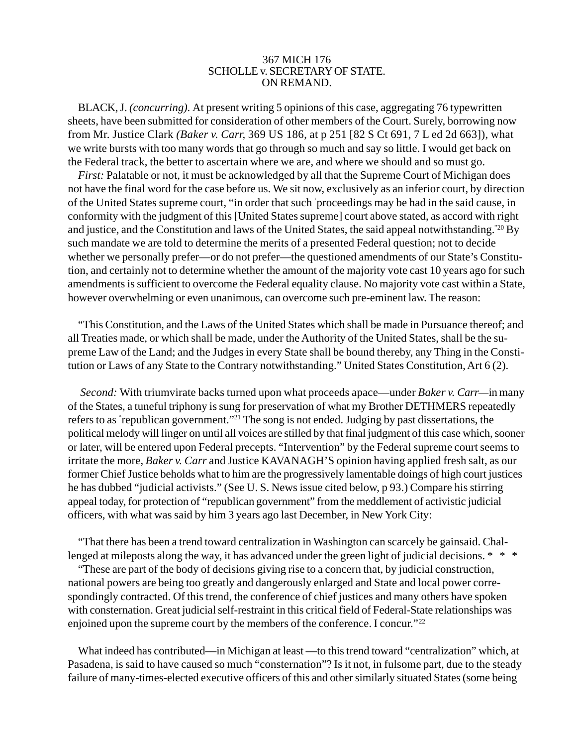## 367 MICH 176 SCHOLLE v. SECRETARY OF STATE. ON REMAND.

BLACK, J. *(concurring).* At present writing 5 opinions of this case, aggregating 76 typewritten sheets, have been submitted for consideration of other members of the Court. Surely, borrowing now from Mr. Justice Clark *(Baker v. Carr,* 369 US 186, at p 251 [82 S Ct 691, 7 L ed 2d 663]), what we write bursts with too many words that go through so much and say so little. I would get back on the Federal track, the better to ascertain where we are, and where we should and so must go.

*First:* Palatable or not, it must be acknowledged by all that the Supreme Court of Michigan does not have the final word for the case before us. We sit now, exclusively as an inferior court, by direction of the United States supreme court, "in order that such ' proceedings may be had in the said cause, in conformity with the judgment of this [United States supreme] court above stated, as accord with right and justice, and the Constitution and laws of the United States, the said appeal notwithstanding."20 By such mandate we are told to determine the merits of a presented Federal question; not to decide whether we personally prefer—or do not prefer—the questioned amendments of our State's Constitution, and certainly not to determine whether the amount of the majority vote cast 10 years ago for such amendments is sufficient to overcome the Federal equality clause. No majority vote cast within a State, however overwhelming or even unanimous, can overcome such pre-eminent law. The reason:

"This Constitution, and the Laws of the United States which shall be made in Pursuance thereof; and all Treaties made, or which shall be made, under the Authority of the United States, shall be the supreme Law of the Land; and the Judges in every State shall be bound thereby, any Thing in the Constitution or Laws of any State to the Contrary notwithstanding." United States Constitution, Art 6 (2).

*Second:* With triumvirate backs turned upon what proceeds apace—under *Baker v. Carr—*in many of the States, a tuneful triphony is sung for preservation of what my Brother DETHMERS repeatedly refers to as " republican government."21 The song is not ended. Judging by past dissertations, the political melody will linger on until all voices are stilled by that final judgment of this case which, sooner or later, will be entered upon Federal precepts. "Intervention" by the Federal supreme court seems to irritate the more, *Baker v. Carr* and Justice KAVANAGH'S opinion having applied fresh salt, as our former Chief Justice beholds what to him are the progressively lamentable doings of high court justices he has dubbed "judicial activists." (See U. S. News issue cited below, p 93.) Compare his stirring appeal today, for protection of "republican government" from the meddlement of activistic judicial officers, with what was said by him 3 years ago last December, in New York City:

"That there has been a trend toward centralization in Washington can scarcely be gainsaid. Challenged at mileposts along the way, it has advanced under the green light of judicial decisions. \* \* \*

"These are part of the body of decisions giving rise to a concern that, by judicial construction, national powers are being too greatly and dangerously enlarged and State and local power correspondingly contracted. Of this trend, the conference of chief justices and many others have spoken with consternation. Great judicial self-restraint in this critical field of Federal-State relationships was enjoined upon the supreme court by the members of the conference. I concur."22

What indeed has contributed—in Michigan at least —to this trend toward "centralization" which, at Pasadena, is said to have caused so much "consternation"? Is it not, in fulsome part, due to the steady failure of many-times-elected executive officers of this and other similarly situated States (some being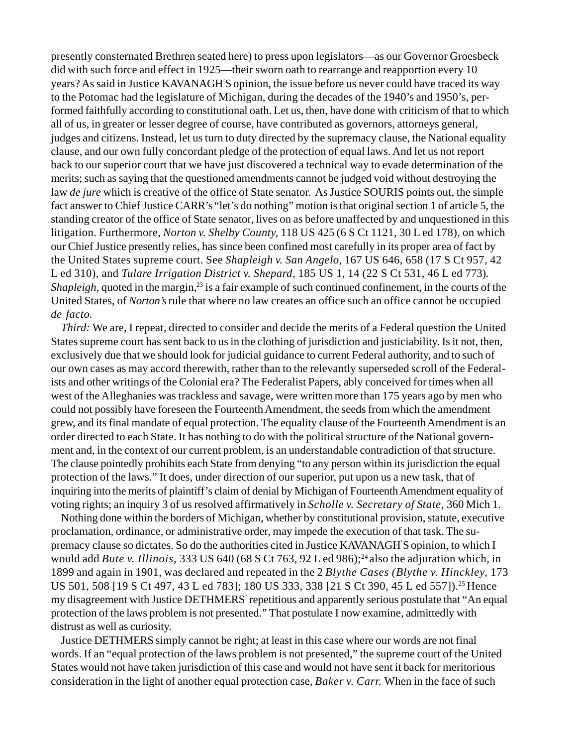presently consternated Brethren seated here) to press upon legislators—as our Governor Groesbeck did with such force and effect in 1925—their sworn oath to rearrange and reapportion every 10 years? As said in Justice KAVANAGH' S opinion, the issue before us never could have traced its way to the Potomac had the legislature of Michigan, during the decades of the 1940's and 1950's, performed faithfully according to constitutional oath. Let us, then, have done with criticism of that to which all of us, in greater or lesser degree of course, have contributed as governors, attorneys general, judges and citizens. Instead, let us turn to duty directed by the supremacy clause, the National equality clause, and our own fully concordant pledge of the protection of equal laws. And let us not report back to our superior court that we have just discovered a technical way to evade determination of the merits; such as saying that the questioned amendments cannot be judged void without destroying the law *de jure* which is creative of the office of State senator. As Justice SOURIS points out, the simple fact answer to Chief Justice CARR's "let's do nothing" motion is that original section 1 of article 5, the standing creator of the office of State senator, lives on as before unaffected by and unquestioned in this litigation. Furthermore, *Norton v. Shelby County,* 118 US 425 (6 S Ct 1121, 30 L ed 178), on which our Chief Justice presently relies, has since been confined most carefully in its proper area of fact by the United States supreme court. See *Shapleigh v. San Angelo,* 167 US 646, 658 (17 S Ct 957, 42 L ed 310), and *Tulare Irrigation District v. Shepard,* 185 US 1, 14 (22 S Ct 531, 46 L ed 773)*. Shapleigh, quoted in the margin,*<sup>23</sup> is a fair example of such continued confinement, in the courts of the United States, of *Norton's* rule that where no law creates an office such an office cannot be occupied *de facto.*

*Third:* We are, I repeat, directed to consider and decide the merits of a Federal question the United States supreme court has sent back to us in the clothing of jurisdiction and justiciability. Is it not, then, exclusively due that we should look for judicial guidance to current Federal authority, and to such of our own cases as may accord therewith, rather than to the relevantly superseded scroll of the Federalists and other writings of the Colonial era? The Federalist Papers, ably conceived for times when all west of the Alleghanies was trackless and savage, were written more than 175 years ago by men who could not possibly have foreseen the Fourteenth Amendment, the seeds from which the amendment grew, and its final mandate of equal protection. The equality clause of the Fourteenth Amendment is an order directed to each State. It has nothing to do with the political structure of the National government and, in the context of our current problem, is an understandable contradiction of that structure. The clause pointedly prohibits each State from denying "to any person within its jurisdiction the equal protection of the laws." It does, under direction of our superior, put upon us a new task, that of inquiring into the merits of plaintiff's claim of denial by Michigan of Fourteenth Amendment equality of voting rights; an inquiry 3 of us resolved affirmatively in *Scholle v. Secretary of State,* 360 Mich 1.

Nothing done within the borders of Michigan, whether by constitutional provision, statute, executive proclamation, ordinance, or administrative order, may impede the execution of that task. The supremacy clause so dictates. So do the authorities cited in Justice KAVANAGH' S opinion, to which I would add *Bute v. Illinois*, 333 US 640 (68 S Ct 763, 92 L ed 986);<sup>24</sup> also the adjuration which, in 1899 and again in 1901, was declared and repeated in the 2 *Blythe Cases (Blythe v. Hinckley,* 173 US 501, 508 [19 S Ct 497, 43 L ed 783]; 180 US 333, 338 [21 S Ct 390, 45 L ed 557]).<sup>25</sup> Hence my disagreement with Justice DETHMERS' repetitious and apparently serious postulate that "An equal protection of the laws problem is not presented." That postulate I now examine, admittedly with distrust as well as curiosity.

Justice DETHMERS simply cannot be right; at least in this case where our words are not final words. If an "equal protection of the laws problem is not presented," the supreme court of the United States would not have taken jurisdiction of this case and would not have sent it back for meritorious consideration in the light of another equal protection case, *Baker v. Carr.* When in the face of such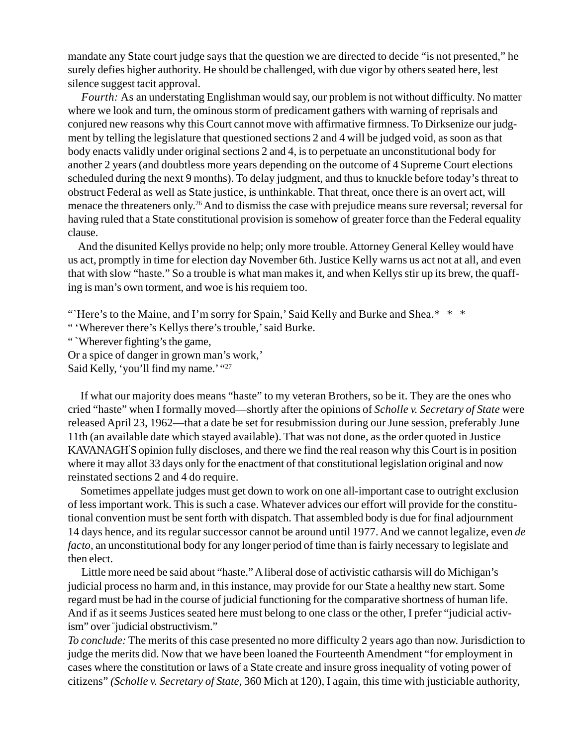mandate any State court judge says that the question we are directed to decide "is not presented," he surely defies higher authority. He should be challenged, with due vigor by others seated here, lest silence suggest tacit approval.

*Fourth:* As an understating Englishman would say, our problem is not without difficulty. No matter where we look and turn, the ominous storm of predicament gathers with warning of reprisals and conjured new reasons why this Court cannot move with affirmative firmness. To Dirksenize our judgment by telling the legislature that questioned sections 2 and 4 will be judged void, as soon as that body enacts validly under original sections 2 and 4, is to perpetuate an unconstitutional body for another 2 years (and doubtless more years depending on the outcome of 4 Supreme Court elections scheduled during the next 9 months). To delay judgment, and thus to knuckle before today's threat to obstruct Federal as well as State justice, is unthinkable. That threat, once there is an overt act, will menace the threateners only.26 And to dismiss the case with prejudice means sure reversal; reversal for having ruled that a State constitutional provision is somehow of greater force than the Federal equality clause.

And the disunited Kellys provide no help; only more trouble. Attorney General Kelley would have us act, promptly in time for election day November 6th. Justice Kelly warns us act not at all, and even that with slow "haste." So a trouble is what man makes it, and when Kellys stir up its brew, the quaffing is man's own torment, and woe is his requiem too.

". Here's to the Maine, and I'm sorry for Spain,' Said Kelly and Burke and Shea. \* \* \*

" 'Wherever there's Kellys there's trouble,' said Burke.

" `Wherever fighting's the game,

Or a spice of danger in grown man's work,'

Said Kelly, 'you'll find my name.' "27

If what our majority does means "haste" to my veteran Brothers, so be it. They are the ones who cried "haste" when I formally moved—shortly after the opinions of *Scholle v. Secretary of State* were released April 23, 1962—that a date be set for resubmission during our June session, preferably June 11th (an available date which stayed available). That was not done, as the order quoted in Justice KAVANAGH' S opinion fully discloses, and there we find the real reason why this Court is in position where it may allot 33 days only for the enactment of that constitutional legislation original and now reinstated sections 2 and 4 do require.

Sometimes appellate judges must get down to work on one all-important case to outright exclusion of less important work. This is such a case. Whatever advices our effort will provide for the constitutional convention must be sent forth with dispatch. That assembled body is due for final adjournment 14 days hence, and its regular successor cannot be around until 1977. And we cannot legalize, even *de facto*, an unconstitutional body for any longer period of time than is fairly necessary to legislate and then elect.

Little more need be said about "haste." A liberal dose of activistic catharsis will do Michigan's judicial process no harm and, in this instance, may provide for our State a healthy new start. Some regard must be had in the course of judicial functioning for the comparative shortness of human life. And if as it seems Justices seated here must belong to one class or the other, I prefer "judicial activism" over " judicial obstructivism."

*To conclude:* The merits of this case presented no more difficulty 2 years ago than now. Jurisdiction to judge the merits did. Now that we have been loaned the Fourteenth Amendment "for employment in cases where the constitution or laws of a State create and insure gross inequality of voting power of citizens" *(Scholle v. Secretary of State,* 360 Mich at 120), I again, this time with justiciable authority,